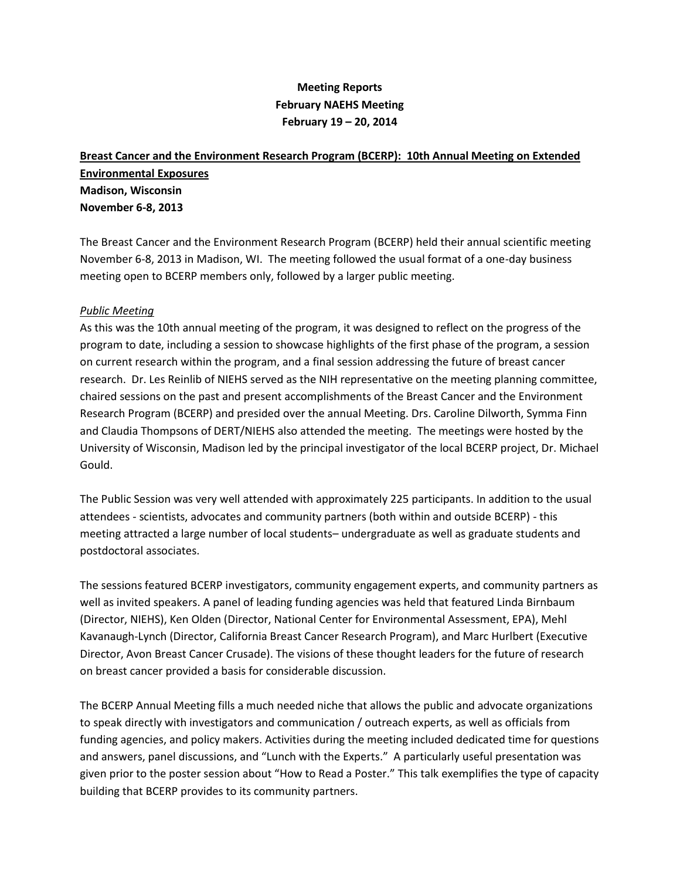# **Meeting Reports February NAEHS Meeting February 19 – 20, 2014**

# **Breast Cancer and the Environment Research Program (BCERP): 10th Annual Meeting on Extended Environmental Exposures Madison, Wisconsin November 6-8, 2013**

The Breast Cancer and the Environment Research Program (BCERP) held their annual scientific meeting November 6-8, 2013 in Madison, WI. The meeting followed the usual format of a one-day business meeting open to BCERP members only, followed by a larger public meeting.

### *Public Meeting*

As this was the 10th annual meeting of the program, it was designed to reflect on the progress of the program to date, including a session to showcase highlights of the first phase of the program, a session on current research within the program, and a final session addressing the future of breast cancer research. Dr. Les Reinlib of NIEHS served as the NIH representative on the meeting planning committee, chaired sessions on the past and present accomplishments of the Breast Cancer and the Environment Research Program (BCERP) and presided over the annual Meeting. Drs. Caroline Dilworth, Symma Finn and Claudia Thompsons of DERT/NIEHS also attended the meeting. The meetings were hosted by the University of Wisconsin, Madison led by the principal investigator of the local BCERP project, Dr. Michael Gould.

The Public Session was very well attended with approximately 225 participants. In addition to the usual attendees - scientists, advocates and community partners (both within and outside BCERP) - this meeting attracted a large number of local students– undergraduate as well as graduate students and postdoctoral associates.

The sessions featured BCERP investigators, community engagement experts, and community partners as well as invited speakers. A panel of leading funding agencies was held that featured Linda Birnbaum (Director, NIEHS), Ken Olden (Director, National Center for Environmental Assessment, EPA), Mehl Kavanaugh-Lynch (Director, California Breast Cancer Research Program), and Marc Hurlbert (Executive Director, Avon Breast Cancer Crusade). The visions of these thought leaders for the future of research on breast cancer provided a basis for considerable discussion.

The BCERP Annual Meeting fills a much needed niche that allows the public and advocate organizations to speak directly with investigators and communication / outreach experts, as well as officials from funding agencies, and policy makers. Activities during the meeting included dedicated time for questions and answers, panel discussions, and "Lunch with the Experts." A particularly useful presentation was given prior to the poster session about "How to Read a Poster." This talk exemplifies the type of capacity building that BCERP provides to its community partners.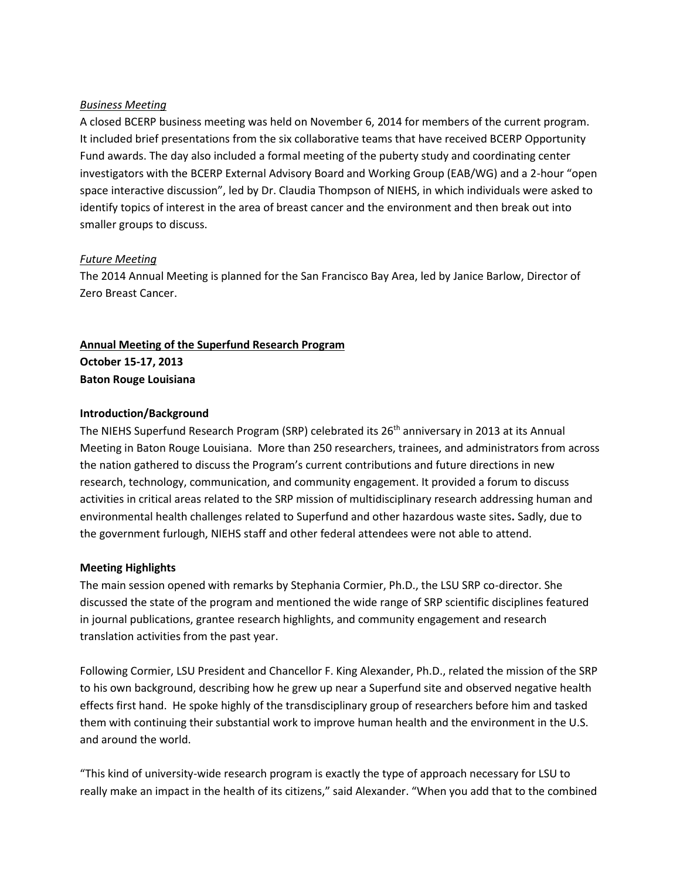### *Business Meeting*

A closed BCERP business meeting was held on November 6, 2014 for members of the current program. It included brief presentations from the six collaborative teams that have received BCERP Opportunity Fund awards. The day also included a formal meeting of the puberty study and coordinating center investigators with the BCERP External Advisory Board and Working Group (EAB/WG) and a 2-hour "open space interactive discussion", led by Dr. Claudia Thompson of NIEHS, in which individuals were asked to identify topics of interest in the area of breast cancer and the environment and then break out into smaller groups to discuss.

### *Future Meeting*

The 2014 Annual Meeting is planned for the San Francisco Bay Area, led by Janice Barlow, Director of Zero Breast Cancer.

# **Annual Meeting of the Superfund Research Program October 15-17, 2013**

**Baton Rouge Louisiana**

### **Introduction/Background**

The NIEHS Superfund Research Program (SRP) celebrated its 26<sup>th</sup> anniversary in 2013 at its Annual Meeting in Baton Rouge Louisiana. More than 250 researchers, trainees, and administrators from across the nation gathered to discuss the Program's current contributions and future directions in new research, technology, communication, and community engagement. It provided a forum to discuss activities in critical areas related to the SRP mission of multidisciplinary research addressing human and environmental health challenges related to Superfund and other hazardous waste sites**.** Sadly, due to the government furlough, NIEHS staff and other federal attendees were not able to attend.

### **Meeting Highlights**

The main session opened with remarks by Stephania Cormier, Ph.D., the LSU SRP co-director. She discussed the state of the program and mentioned the wide range of SRP scientific disciplines featured in journal publications, grantee research highlights, and community engagement and research translation activities from the past year.

Following Cormier, LSU President and Chancellor F. King Alexander, Ph.D., related the mission of the SRP to his own background, describing how he grew up near a Superfund site and observed negative health effects first hand. He spoke highly of the transdisciplinary group of researchers before him and tasked them with continuing their substantial work to improve human health and the environment in the U.S. and around the world.

"This kind of university-wide research program is exactly the type of approach necessary for LSU to really make an impact in the health of its citizens," said Alexander. "When you add that to the combined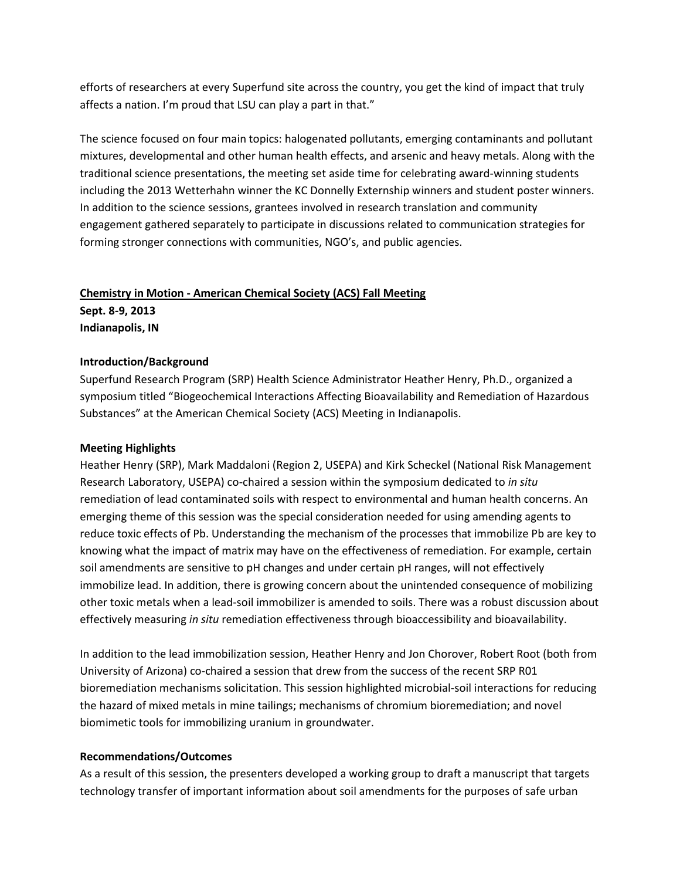efforts of researchers at every Superfund site across the country, you get the kind of impact that truly affects a nation. I'm proud that LSU can play a part in that."

The science focused on four main topics: halogenated pollutants, emerging contaminants and pollutant mixtures, developmental and other human health effects, and arsenic and heavy metals. Along with the traditional science presentations, the meeting set aside time for celebrating award-winning students including the 2013 Wetterhahn winner the KC Donnelly Externship winners and student poster winners. In addition to the science sessions, grantees involved in research translation and community engagement gathered separately to participate in discussions related to communication strategies for forming stronger connections with communities, NGO's, and public agencies.

# **Chemistry in Motion - American Chemical Society (ACS) Fall Meeting**

**Sept. 8-9, 2013 Indianapolis, IN**

## **Introduction/Background**

Superfund Research Program (SRP) Health Science Administrator Heather Henry, Ph.D., organized a symposium titled "Biogeochemical Interactions Affecting Bioavailability and Remediation of Hazardous Substances" at the American Chemical Society (ACS) Meeting in Indianapolis.

## **Meeting Highlights**

Heather Henry (SRP), Mark Maddaloni (Region 2, USEPA) and Kirk Scheckel (National Risk Management Research Laboratory, USEPA) co-chaired a session within the symposium dedicated to *in situ* remediation of lead contaminated soils with respect to environmental and human health concerns. An emerging theme of this session was the special consideration needed for using amending agents to reduce toxic effects of Pb. Understanding the mechanism of the processes that immobilize Pb are key to knowing what the impact of matrix may have on the effectiveness of remediation. For example, certain soil amendments are sensitive to pH changes and under certain pH ranges, will not effectively immobilize lead. In addition, there is growing concern about the unintended consequence of mobilizing other toxic metals when a lead-soil immobilizer is amended to soils. There was a robust discussion about effectively measuring *in situ* remediation effectiveness through bioaccessibility and bioavailability.

In addition to the lead immobilization session, Heather Henry and Jon Chorover, Robert Root (both from University of Arizona) co-chaired a session that drew from the success of the recent SRP R01 bioremediation mechanisms solicitation. This session highlighted microbial-soil interactions for reducing the hazard of mixed metals in mine tailings; mechanisms of chromium bioremediation; and novel biomimetic tools for immobilizing uranium in groundwater.

### **Recommendations/Outcomes**

As a result of this session, the presenters developed a working group to draft a manuscript that targets technology transfer of important information about soil amendments for the purposes of safe urban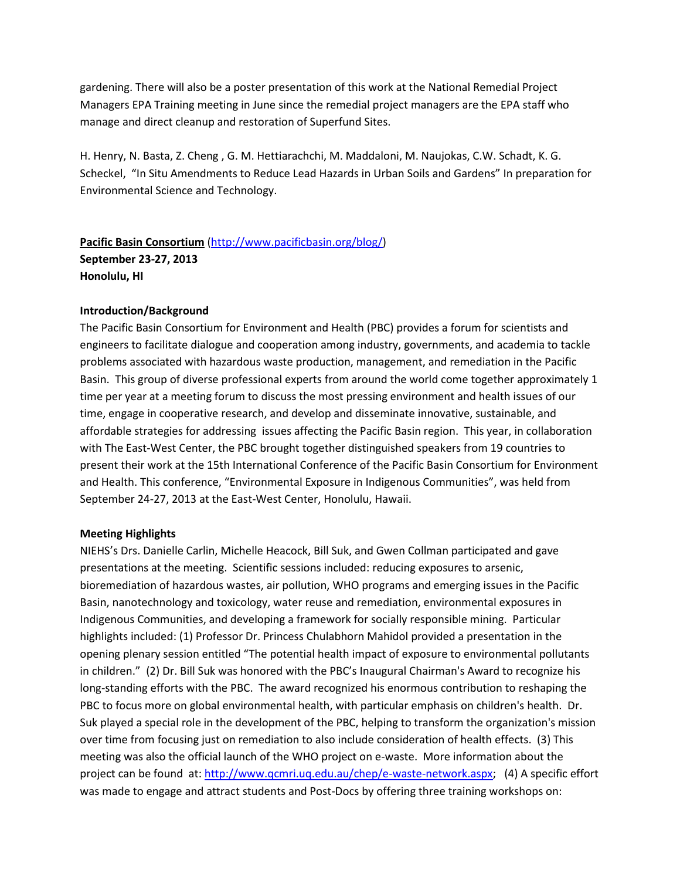gardening. There will also be a poster presentation of this work at the National Remedial Project Managers EPA Training meeting in June since the remedial project managers are the EPA staff who manage and direct cleanup and restoration of Superfund Sites.

H. Henry, N. Basta, Z. Cheng , G. M. Hettiarachchi, M. Maddaloni, M. Naujokas, C.W. Schadt, K. G. Scheckel, "In Situ Amendments to Reduce Lead Hazards in Urban Soils and Gardens" In preparation for Environmental Science and Technology.

# **Pacific Basin Consortium** [\(http://www.pacificbasin.org/blog/\)](http://www.pacificbasin.org/blog/) **September 23-27, 2013 Honolulu, HI**

### **Introduction/Background**

The Pacific Basin Consortium for Environment and Health (PBC) provides a forum for scientists and engineers to facilitate dialogue and cooperation among industry, governments, and academia to tackle problems associated with hazardous waste production, management, and remediation in the Pacific Basin. This group of diverse professional experts from around the world come together approximately 1 time per year at a meeting forum to discuss the most pressing environment and health issues of our time, engage in cooperative research, and develop and disseminate innovative, sustainable, and affordable strategies for addressing issues affecting the Pacific Basin region. This year, in collaboration with The East-West Center, the PBC brought together distinguished speakers from 19 countries to present their work at the 15th International Conference of the Pacific Basin Consortium for Environment and Health. This conference, "Environmental Exposure in Indigenous Communities", was held from September 24-27, 2013 at the East-West Center, Honolulu, Hawaii.

#### **Meeting Highlights**

NIEHS's Drs. Danielle Carlin, Michelle Heacock, Bill Suk, and Gwen Collman participated and gave presentations at the meeting. Scientific sessions included: reducing exposures to arsenic, bioremediation of hazardous wastes, air pollution, WHO programs and emerging issues in the Pacific Basin, nanotechnology and toxicology, water reuse and remediation, environmental exposures in Indigenous Communities, and developing a framework for socially responsible mining. Particular highlights included: (1) Professor Dr. Princess Chulabhorn Mahidol provided a presentation in the opening plenary session entitled "The potential health impact of exposure to environmental pollutants in children." (2) Dr. Bill Suk was honored with the PBC's Inaugural Chairman's Award to recognize his long-standing efforts with the PBC. The award recognized his enormous contribution to reshaping the PBC to focus more on global environmental health, with particular emphasis on children's health. Dr. Suk played a special role in the development of the PBC, helping to transform the organization's mission over time from focusing just on remediation to also include consideration of health effects. (3) This meeting was also the official launch of the WHO project on e-waste. More information about the project can be found at: [http://www.qcmri.uq.edu.au/chep/e-waste-network.aspx;](http://www.qcmri.uq.edu.au/chep/e-waste-network.aspx) (4) A specific effort was made to engage and attract students and Post-Docs by offering three training workshops on: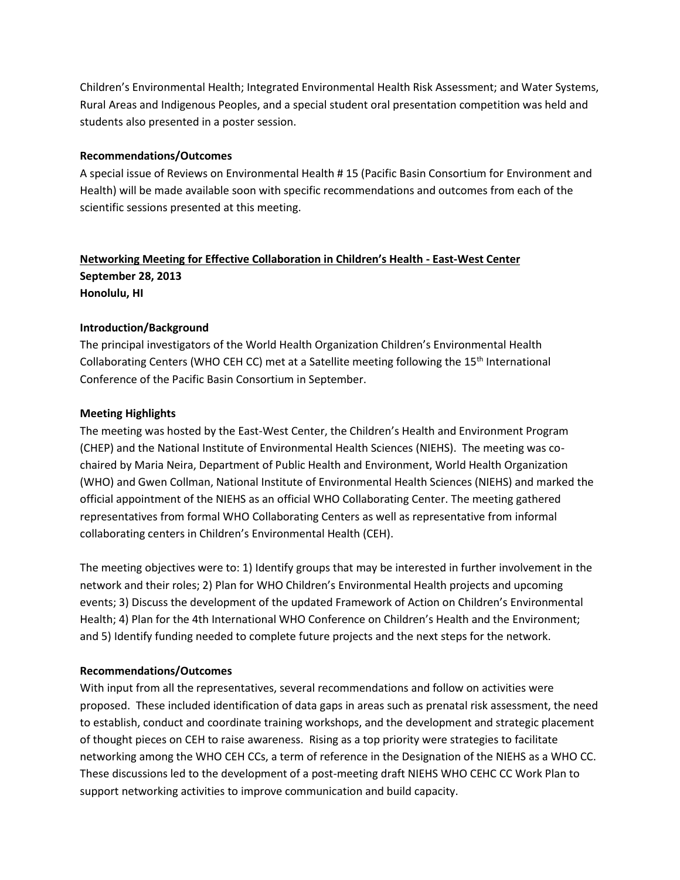Children's Environmental Health; Integrated Environmental Health Risk Assessment; and Water Systems, Rural Areas and Indigenous Peoples, and a special student oral presentation competition was held and students also presented in a poster session.

### **Recommendations/Outcomes**

A special issue of Reviews on Environmental Health # 15 (Pacific Basin Consortium for Environment and Health) will be made available soon with specific recommendations and outcomes from each of the scientific sessions presented at this meeting.

# **Networking Meeting for Effective Collaboration in Children's Health - East-West Center September 28, 2013 Honolulu, HI**

### **Introduction/Background**

The principal investigators of the World Health Organization Children's Environmental Health Collaborating Centers (WHO CEH CC) met at a Satellite meeting following the 15<sup>th</sup> International Conference of the Pacific Basin Consortium in September.

### **Meeting Highlights**

The meeting was hosted by the East-West Center, the Children's Health and Environment Program (CHEP) and the National Institute of Environmental Health Sciences (NIEHS). The meeting was cochaired by Maria Neira, Department of Public Health and Environment, World Health Organization (WHO) and Gwen Collman, National Institute of Environmental Health Sciences (NIEHS) and marked the official appointment of the NIEHS as an official WHO Collaborating Center. The meeting gathered representatives from formal WHO Collaborating Centers as well as representative from informal collaborating centers in Children's Environmental Health (CEH).

The meeting objectives were to: 1) Identify groups that may be interested in further involvement in the network and their roles; 2) Plan for WHO Children's Environmental Health projects and upcoming events; 3) Discuss the development of the updated Framework of Action on Children's Environmental Health; 4) Plan for the 4th International WHO Conference on Children's Health and the Environment; and 5) Identify funding needed to complete future projects and the next steps for the network.

#### **Recommendations/Outcomes**

With input from all the representatives, several recommendations and follow on activities were proposed. These included identification of data gaps in areas such as prenatal risk assessment, the need to establish, conduct and coordinate training workshops, and the development and strategic placement of thought pieces on CEH to raise awareness. Rising as a top priority were strategies to facilitate networking among the WHO CEH CCs, a term of reference in the Designation of the NIEHS as a WHO CC. These discussions led to the development of a post-meeting draft NIEHS WHO CEHC CC Work Plan to support networking activities to improve communication and build capacity.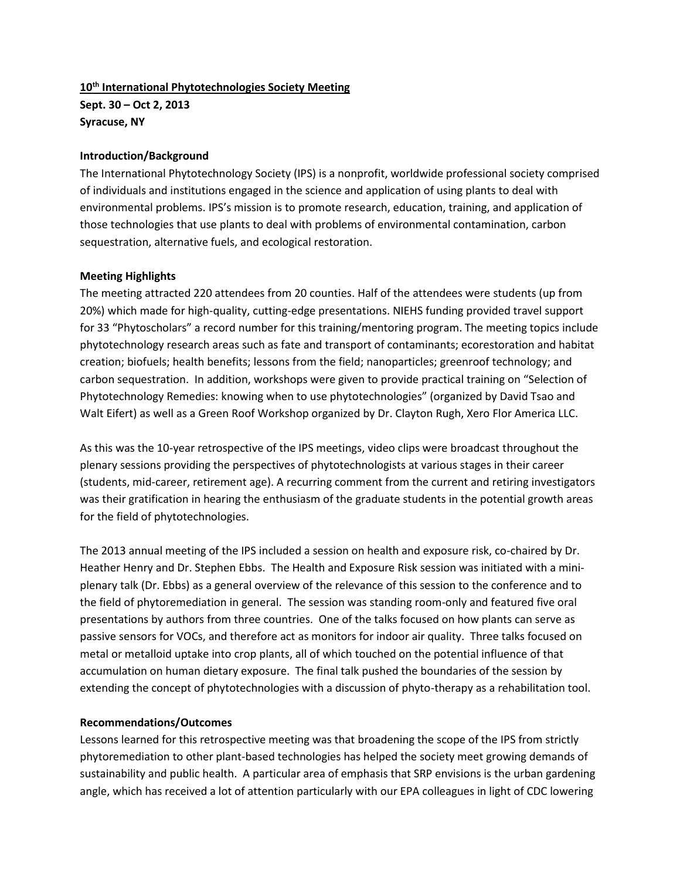# **10th International Phytotechnologies Society Meeting Sept. 30 – Oct 2, 2013 Syracuse, NY**

### **Introduction/Background**

The International Phytotechnology Society (IPS) is a nonprofit, worldwide professional society comprised of individuals and institutions engaged in the science and application of using plants to deal with environmental problems. IPS's mission is to promote research, education, training, and application of those technologies that use plants to deal with problems of environmental contamination, carbon sequestration, alternative fuels, and ecological restoration.

### **Meeting Highlights**

The meeting attracted 220 attendees from 20 counties. Half of the attendees were students (up from 20%) which made for high-quality, cutting-edge presentations. NIEHS funding provided travel support for 33 "Phytoscholars" a record number for this training/mentoring program. The meeting topics include phytotechnology research areas such as fate and transport of contaminants; ecorestoration and habitat creation; biofuels; health benefits; lessons from the field; nanoparticles; greenroof technology; and carbon sequestration. In addition, workshops were given to provide practical training on "Selection of Phytotechnology Remedies: knowing when to use phytotechnologies" (organized by David Tsao and Walt Eifert) as well as a Green Roof Workshop organized by Dr. Clayton Rugh, Xero Flor America LLC.

As this was the 10-year retrospective of the IPS meetings, video clips were broadcast throughout the plenary sessions providing the perspectives of phytotechnologists at various stages in their career (students, mid-career, retirement age). A recurring comment from the current and retiring investigators was their gratification in hearing the enthusiasm of the graduate students in the potential growth areas for the field of phytotechnologies.

The 2013 annual meeting of the IPS included a session on health and exposure risk, co-chaired by Dr. Heather Henry and Dr. Stephen Ebbs. The Health and Exposure Risk session was initiated with a miniplenary talk (Dr. Ebbs) as a general overview of the relevance of this session to the conference and to the field of phytoremediation in general. The session was standing room-only and featured five oral presentations by authors from three countries. One of the talks focused on how plants can serve as passive sensors for VOCs, and therefore act as monitors for indoor air quality. Three talks focused on metal or metalloid uptake into crop plants, all of which touched on the potential influence of that accumulation on human dietary exposure. The final talk pushed the boundaries of the session by extending the concept of phytotechnologies with a discussion of phyto-therapy as a rehabilitation tool.

### **Recommendations/Outcomes**

Lessons learned for this retrospective meeting was that broadening the scope of the IPS from strictly phytoremediation to other plant-based technologies has helped the society meet growing demands of sustainability and public health. A particular area of emphasis that SRP envisions is the urban gardening angle, which has received a lot of attention particularly with our EPA colleagues in light of CDC lowering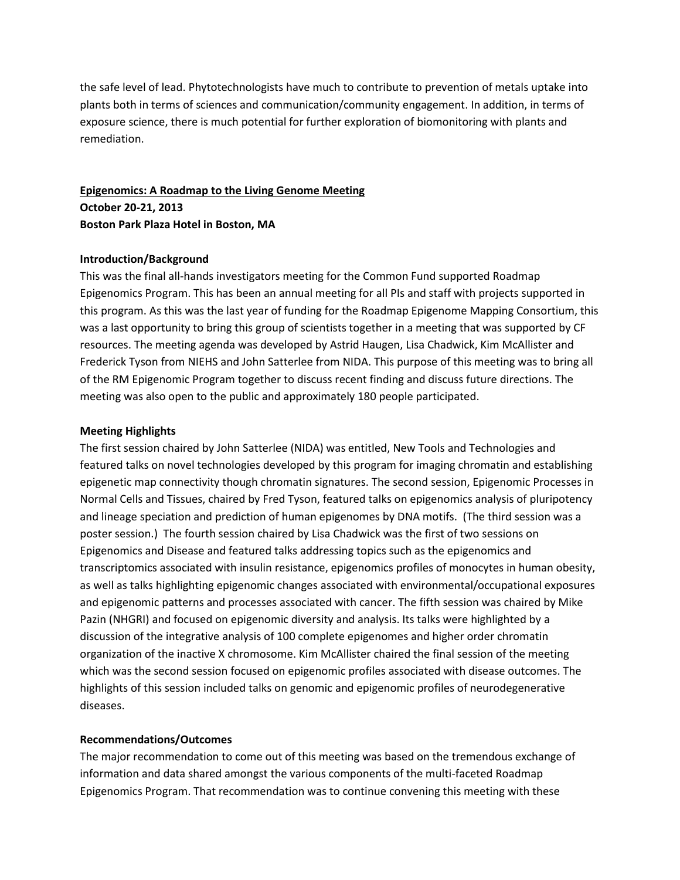the safe level of lead. Phytotechnologists have much to contribute to prevention of metals uptake into plants both in terms of sciences and communication/community engagement. In addition, in terms of exposure science, there is much potential for further exploration of biomonitoring with plants and remediation.

# **Epigenomics: A Roadmap to the Living Genome Meeting October 20-21, 2013 Boston Park Plaza Hotel in Boston, MA**

### **Introduction/Background**

This was the final all-hands investigators meeting for the Common Fund supported Roadmap Epigenomics Program. This has been an annual meeting for all PIs and staff with projects supported in this program. As this was the last year of funding for the Roadmap Epigenome Mapping Consortium, this was a last opportunity to bring this group of scientists together in a meeting that was supported by CF resources. The meeting agenda was developed by Astrid Haugen, Lisa Chadwick, Kim McAllister and Frederick Tyson from NIEHS and John Satterlee from NIDA. This purpose of this meeting was to bring all of the RM Epigenomic Program together to discuss recent finding and discuss future directions. The meeting was also open to the public and approximately 180 people participated.

#### **Meeting Highlights**

The first session chaired by John Satterlee (NIDA) was entitled, New Tools and Technologies and featured talks on novel technologies developed by this program for imaging chromatin and establishing epigenetic map connectivity though chromatin signatures. The second session, Epigenomic Processes in Normal Cells and Tissues, chaired by Fred Tyson, featured talks on epigenomics analysis of pluripotency and lineage speciation and prediction of human epigenomes by DNA motifs. (The third session was a poster session.) The fourth session chaired by Lisa Chadwick was the first of two sessions on Epigenomics and Disease and featured talks addressing topics such as the epigenomics and transcriptomics associated with insulin resistance, epigenomics profiles of monocytes in human obesity, as well as talks highlighting epigenomic changes associated with environmental/occupational exposures and epigenomic patterns and processes associated with cancer. The fifth session was chaired by Mike Pazin (NHGRI) and focused on epigenomic diversity and analysis. Its talks were highlighted by a discussion of the integrative analysis of 100 complete epigenomes and higher order chromatin organization of the inactive X chromosome. Kim McAllister chaired the final session of the meeting which was the second session focused on epigenomic profiles associated with disease outcomes. The highlights of this session included talks on genomic and epigenomic profiles of neurodegenerative diseases.

### **Recommendations/Outcomes**

The major recommendation to come out of this meeting was based on the tremendous exchange of information and data shared amongst the various components of the multi-faceted Roadmap Epigenomics Program. That recommendation was to continue convening this meeting with these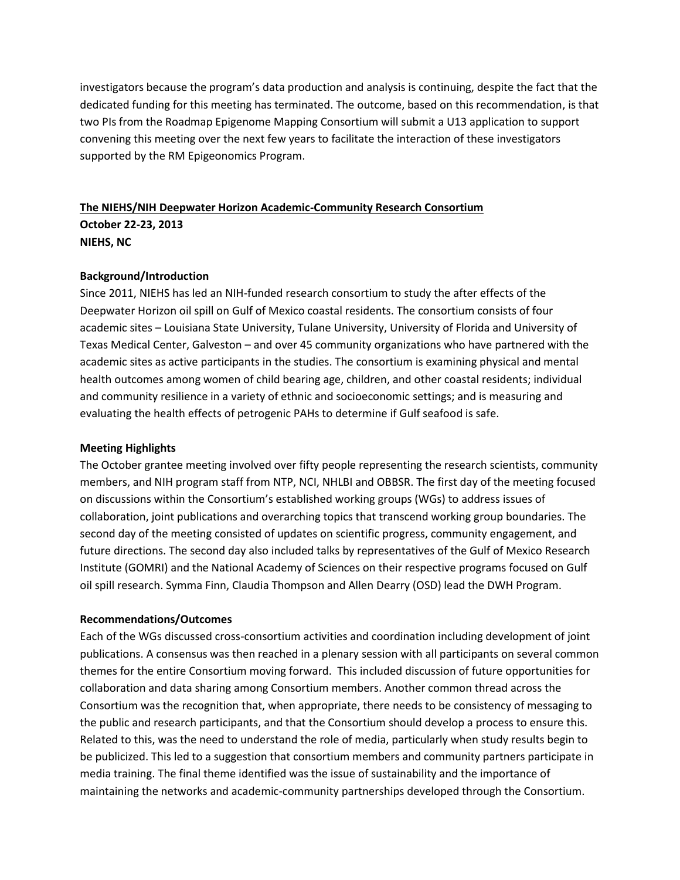investigators because the program's data production and analysis is continuing, despite the fact that the dedicated funding for this meeting has terminated. The outcome, based on this recommendation, is that two PIs from the Roadmap Epigenome Mapping Consortium will submit a U13 application to support convening this meeting over the next few years to facilitate the interaction of these investigators supported by the RM Epigeonomics Program.

# **The NIEHS/NIH Deepwater Horizon Academic-Community Research Consortium October 22-23, 2013 NIEHS, NC**

### **Background/Introduction**

Since 2011, NIEHS has led an NIH-funded research consortium to study the after effects of the Deepwater Horizon oil spill on Gulf of Mexico coastal residents. The consortium consists of four academic sites – Louisiana State University, Tulane University, University of Florida and University of Texas Medical Center, Galveston – and over 45 community organizations who have partnered with the academic sites as active participants in the studies. The consortium is examining physical and mental health outcomes among women of child bearing age, children, and other coastal residents; individual and community resilience in a variety of ethnic and socioeconomic settings; and is measuring and evaluating the health effects of petrogenic PAHs to determine if Gulf seafood is safe.

#### **Meeting Highlights**

The October grantee meeting involved over fifty people representing the research scientists, community members, and NIH program staff from NTP, NCI, NHLBI and OBBSR. The first day of the meeting focused on discussions within the Consortium's established working groups (WGs) to address issues of collaboration, joint publications and overarching topics that transcend working group boundaries. The second day of the meeting consisted of updates on scientific progress, community engagement, and future directions. The second day also included talks by representatives of the Gulf of Mexico Research Institute (GOMRI) and the National Academy of Sciences on their respective programs focused on Gulf oil spill research. Symma Finn, Claudia Thompson and Allen Dearry (OSD) lead the DWH Program.

#### **Recommendations/Outcomes**

Each of the WGs discussed cross-consortium activities and coordination including development of joint publications. A consensus was then reached in a plenary session with all participants on several common themes for the entire Consortium moving forward. This included discussion of future opportunities for collaboration and data sharing among Consortium members. Another common thread across the Consortium was the recognition that, when appropriate, there needs to be consistency of messaging to the public and research participants, and that the Consortium should develop a process to ensure this. Related to this, was the need to understand the role of media, particularly when study results begin to be publicized. This led to a suggestion that consortium members and community partners participate in media training. The final theme identified was the issue of sustainability and the importance of maintaining the networks and academic-community partnerships developed through the Consortium.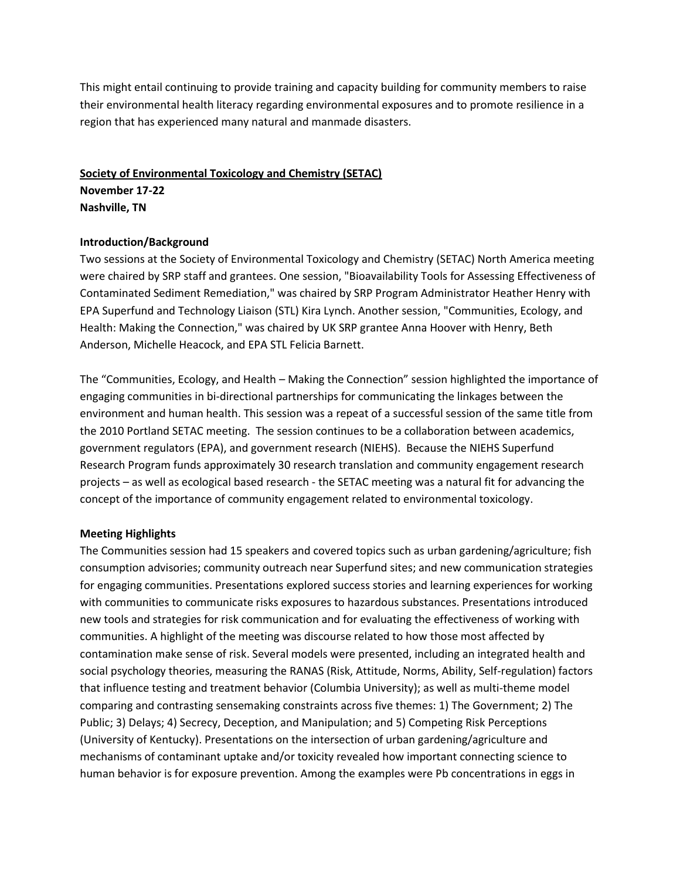This might entail continuing to provide training and capacity building for community members to raise their environmental health literacy regarding environmental exposures and to promote resilience in a region that has experienced many natural and manmade disasters.

# **Society of Environmental Toxicology and Chemistry (SETAC) November 17-22 Nashville, TN**

### **Introduction/Background**

Two sessions at the Society of Environmental Toxicology and Chemistry (SETAC) North America meeting were chaired by SRP staff and grantees. One session, "Bioavailability Tools for Assessing Effectiveness of Contaminated Sediment Remediation," was chaired by SRP Program Administrator Heather Henry with EPA Superfund and Technology Liaison (STL) Kira Lynch. Another session, "Communities, Ecology, and Health: Making the Connection," was chaired by UK SRP grantee Anna Hoover with Henry, Beth Anderson, Michelle Heacock, and EPA STL Felicia Barnett.

The "Communities, Ecology, and Health – Making the Connection" session highlighted the importance of engaging communities in bi-directional partnerships for communicating the linkages between the environment and human health. This session was a repeat of a successful session of the same title from the 2010 Portland SETAC meeting. The session continues to be a collaboration between academics, government regulators (EPA), and government research (NIEHS). Because the NIEHS Superfund Research Program funds approximately 30 research translation and community engagement research projects – as well as ecological based research - the SETAC meeting was a natural fit for advancing the concept of the importance of community engagement related to environmental toxicology.

#### **Meeting Highlights**

The Communities session had 15 speakers and covered topics such as urban gardening/agriculture; fish consumption advisories; community outreach near Superfund sites; and new communication strategies for engaging communities. Presentations explored success stories and learning experiences for working with communities to communicate risks exposures to hazardous substances. Presentations introduced new tools and strategies for risk communication and for evaluating the effectiveness of working with communities. A highlight of the meeting was discourse related to how those most affected by contamination make sense of risk. Several models were presented, including an integrated health and social psychology theories, measuring the RANAS (Risk, Attitude, Norms, Ability, Self-regulation) factors that influence testing and treatment behavior (Columbia University); as well as multi-theme model comparing and contrasting sensemaking constraints across five themes: 1) The Government; 2) The Public; 3) Delays; 4) Secrecy, Deception, and Manipulation; and 5) Competing Risk Perceptions (University of Kentucky). Presentations on the intersection of urban gardening/agriculture and mechanisms of contaminant uptake and/or toxicity revealed how important connecting science to human behavior is for exposure prevention. Among the examples were Pb concentrations in eggs in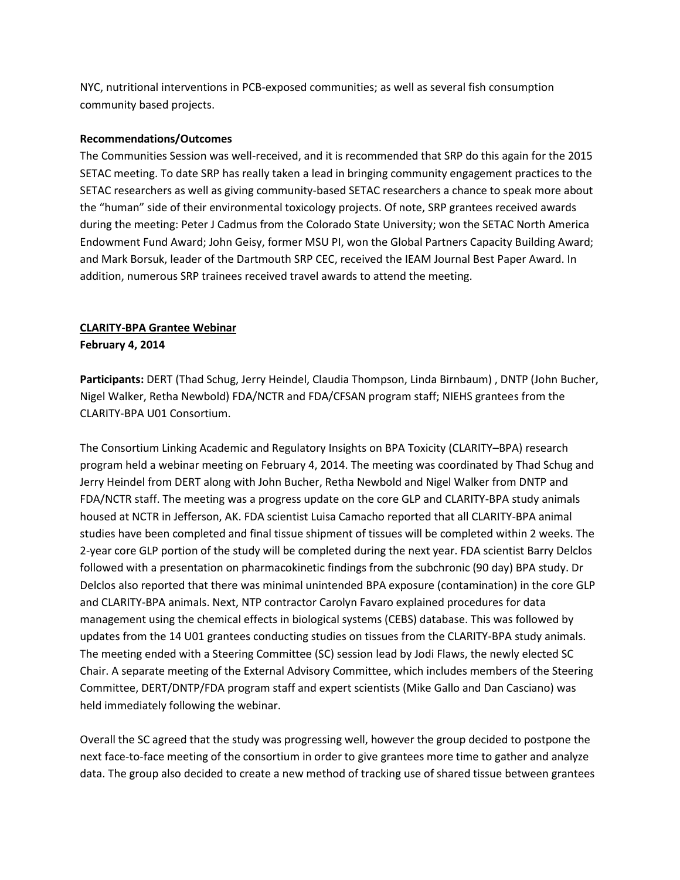NYC, nutritional interventions in PCB-exposed communities; as well as several fish consumption community based projects.

### **Recommendations/Outcomes**

The Communities Session was well-received, and it is recommended that SRP do this again for the 2015 SETAC meeting. To date SRP has really taken a lead in bringing community engagement practices to the SETAC researchers as well as giving community-based SETAC researchers a chance to speak more about the "human" side of their environmental toxicology projects. Of note, SRP grantees received awards during the meeting: Peter J Cadmus from the Colorado State University; won the SETAC North America Endowment Fund Award; John Geisy, former MSU PI, won the Global Partners Capacity Building Award; and Mark Borsuk, leader of the Dartmouth SRP CEC, received the IEAM Journal Best Paper Award. In addition, numerous SRP trainees received travel awards to attend the meeting.

## **CLARITY-BPA Grantee Webinar**

### **February 4, 2014**

**Participants:** DERT (Thad Schug, Jerry Heindel, Claudia Thompson, Linda Birnbaum) , DNTP (John Bucher, Nigel Walker, Retha Newbold) FDA/NCTR and FDA/CFSAN program staff; NIEHS grantees from the CLARITY-BPA U01 Consortium.

The Consortium Linking Academic and Regulatory Insights on BPA Toxicity (CLARITY–BPA) research program held a webinar meeting on February 4, 2014. The meeting was coordinated by Thad Schug and Jerry Heindel from DERT along with John Bucher, Retha Newbold and Nigel Walker from DNTP and FDA/NCTR staff. The meeting was a progress update on the core GLP and CLARITY-BPA study animals housed at NCTR in Jefferson, AK. FDA scientist Luisa Camacho reported that all CLARITY-BPA animal studies have been completed and final tissue shipment of tissues will be completed within 2 weeks. The 2-year core GLP portion of the study will be completed during the next year. FDA scientist Barry Delclos followed with a presentation on pharmacokinetic findings from the subchronic (90 day) BPA study. Dr Delclos also reported that there was minimal unintended BPA exposure (contamination) in the core GLP and CLARITY-BPA animals. Next, NTP contractor Carolyn Favaro explained procedures for data management using the chemical effects in biological systems (CEBS) database. This was followed by updates from the 14 U01 grantees conducting studies on tissues from the CLARITY-BPA study animals. The meeting ended with a Steering Committee (SC) session lead by Jodi Flaws, the newly elected SC Chair. A separate meeting of the External Advisory Committee, which includes members of the Steering Committee, DERT/DNTP/FDA program staff and expert scientists (Mike Gallo and Dan Casciano) was held immediately following the webinar.

Overall the SC agreed that the study was progressing well, however the group decided to postpone the next face-to-face meeting of the consortium in order to give grantees more time to gather and analyze data. The group also decided to create a new method of tracking use of shared tissue between grantees